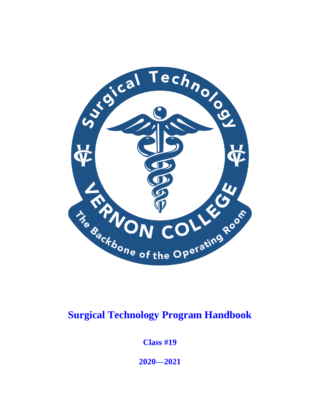

# **Surgical Technology Program Handbook**

**Class #19**

**2020—2021**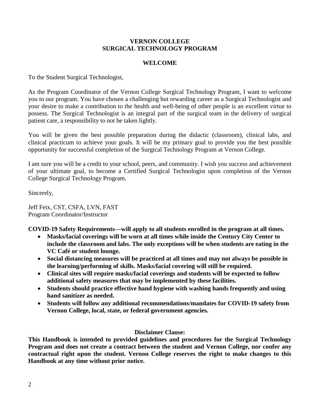#### **VERNON COLLEGE SURGICAL TECHNOLOGY PROGRAM**

#### **WELCOME**

To the Student Surgical Technologist,

As the Program Coordinator of the Vernon College Surgical Technology Program, I want to welcome you to our program. You have chosen a challenging but rewarding career as a Surgical Technologist and your desire to make a contribution to the health and well-being of other people is an excellent virtue to possess. The Surgical Technologist is an integral part of the surgical team in the delivery of surgical patient care, a responsibility to not be taken lightly.

You will be given the best possible preparation during the didactic (classroom), clinical labs, and clinical practicum to achieve your goals. It will be my primary goal to provide you the best possible opportunity for successful completion of the Surgical Technology Program at Vernon College.

I am sure you will be a credit to your school, peers, and community. I wish you success and achievement of your ultimate goal, to become a Certified Surgical Technologist upon completion of the Vernon College Surgical Technology Program.

Sincerely,

Jeff Feix, CST, CSFA, LVN, FAST Program Coordinator/Instructor

**COVID-19 Safety Requirements—will apply to all students enrolled in the program at all times.**

- **Masks/facial coverings will be worn at all times while inside the Century City Center to include the classroom and labs. The only exceptions will be when students are eating in the VC Café or student lounge.**
- **Social distancing measures will be practiced at all times and may not always be possible in the learning/performing of skills. Masks/facial covering will still be required.**
- **Clinical sites will require masks/facial coverings and students will be expected to follow additional safety measures that may be implemented by these facilities.**
- **Students should practice effective hand hygiene with washing hands frequently and using hand sanitizer as needed.**
- **Students will follow any additional recommendations/mandates for COVID-19 safety from Vernon College, local, state, or federal government agencies.**

#### **Disclaimer Clause:**

**This Handbook is intended to provided guidelines and procedures for the Surgical Technology Program and does not create a contract between the student and Vernon College, nor confer any contractual right upon the student. Vernon College reserves the right to make changes to this Handbook at any time without prior notice.**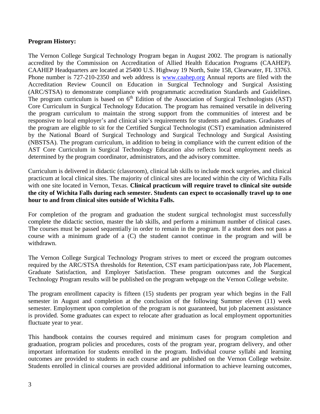#### **Program History:**

The Vernon College Surgical Technology Program began in August 2002. The program is nationally accredited by the Commission on Accreditation of Allied Health Education Programs (CAAHEP). CAAHEP Headquarters are located at 25400 U.S. Highway 19 North, Suite 158, Clearwater, FL 33763. Phone number is 727-210-2350 and web address is [www.caahep.org](http://www.caahep.org/) Annual reports are filed with the Accreditation Review Council on Education in Surgical Technology and Surgical Assisting (ARC/STSA) to demonstrate compliance with programmatic accreditation Standards and Guidelines. The program curriculum is based on  $6<sup>th</sup>$  Edition of the Association of Surgical Technologists (AST) Core Curriculum in Surgical Technology Education. The program has remained versatile in delivering the program curriculum to maintain the strong support from the communities of interest and be responsive to local employer's and clinical site's requirements for students and graduates. Graduates of the program are eligible to sit for the Certified Surgical Technologist (CST) examination administered by the National Board of Surgical Technology and Surgical Technology and Surgical Assisting (NBSTSA). The program curriculum, in addition to being in compliance with the current edition of the AST Core Curriculum in Surgical Technology Education also reflects local employment needs as determined by the program coordinator, administrators, and the advisory committee.

Curriculum is delivered in didactic (classroom), clinical lab skills to include mock surgeries, and clinical practicum at local clinical sites. The majority of clinical sites are located within the city of Wichita Falls with one site located in Vernon, Texas. **Clinical practicum will require travel to clinical site outside the city of Wichita Falls during each semester. Students can expect to occasionally travel up to one hour to and from clinical sites outside of Wichita Falls.**

For completion of the program and graduation the student surgical technologist must successfully complete the didactic section, master the lab skills, and perform a minimum number of clinical cases. The courses must be passed sequentially in order to remain in the program. If a student does not pass a course with a minimum grade of a (C) the student cannot continue in the program and will be withdrawn.

The Vernon College Surgical Technology Program strives to meet or exceed the program outcomes required by the ARC/STSA thresholds for Retention, CST exam participation/pass rate, Job Placement, Graduate Satisfaction, and Employer Satisfaction. These program outcomes and the Surgical Technology Program results will be published on the program webpage on the Vernon College website.

The program enrollment capacity is fifteen (15) students per program year which begins in the Fall semester in August and completion at the conclusion of the following Summer eleven (11) week semester. Employment upon completion of the program is not guaranteed, but job placement assistance is provided. Some graduates can expect to relocate after graduation as local employment opportunities fluctuate year to year.

This handbook contains the courses required and minimum cases for program completion and graduation, program policies and procedures, costs of the program year, program delivery, and other important information for students enrolled in the program. Individual course syllabi and learning outcomes are provided to students in each course and are published on the Vernon College website. Students enrolled in clinical courses are provided additional information to achieve learning outcomes,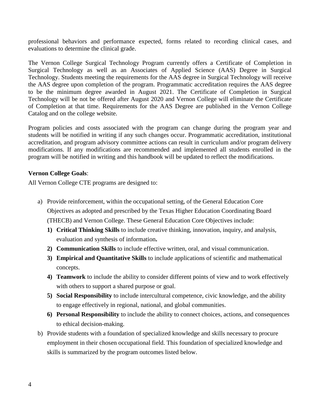professional behaviors and performance expected, forms related to recording clinical cases, and evaluations to determine the clinical grade.

The Vernon College Surgical Technology Program currently offers a Certificate of Completion in Surgical Technology as well as an Associates of Applied Science (AAS) Degree in Surgical Technology. Students meeting the requirements for the AAS degree in Surgical Technology will receive the AAS degree upon completion of the program. Programmatic accreditation requires the AAS degree to be the minimum degree awarded in August 2021. The Certificate of Completion in Surgical Technology will be not be offered after August 2020 and Vernon College will eliminate the Certificate of Completion at that time. Requirements for the AAS Degree are published in the Vernon College Catalog and on the college website.

Program policies and costs associated with the program can change during the program year and students will be notified in writing if any such changes occur. Programmatic accreditation, institutional accreditation, and program advisory committee actions can result in curriculum and/or program delivery modifications. If any modifications are recommended and implemented all students enrolled in the program will be notified in writing and this handbook will be updated to reflect the modifications.

## **Vernon College Goals**:

All Vernon College CTE programs are designed to:

- a) Provide reinforcement, within the occupational setting, of the General Education Core Objectives as adopted and prescribed by the Texas Higher Education Coordinating Board (THECB) and Vernon College. These General Education Core Objectives include:
	- **1) Critical Thinking Skills** to include creative thinking, innovation, inquiry, and analysis, evaluation and synthesis of information**.**
	- **2) Communication Skills** to include effective written, oral, and visual communication.
	- **3) Empirical and Quantitative Skills** to include applications of scientific and mathematical concepts.
	- **4) Teamwork** to include the ability to consider different points of view and to work effectively with others to support a shared purpose or goal.
	- **5) Social Responsibility** to include intercultural competence, civic knowledge, and the ability to engage effectively in regional, national, and global communities.
	- **6) Personal Responsibility** to include the ability to connect choices, actions, and consequences to ethical decision-making.
- b) Provide students with a foundation of specialized knowledge and skills necessary to procure employment in their chosen occupational field. This foundation of specialized knowledge and skills is summarized by the program outcomes listed below.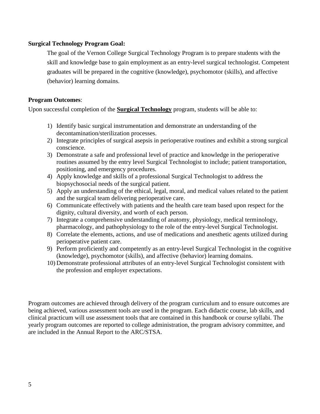#### **Surgical Technology Program Goal:**

The goal of the Vernon College Surgical Technology Program is to prepare students with the skill and knowledge base to gain employment as an entry-level surgical technologist. Competent graduates will be prepared in the cognitive (knowledge), psychomotor (skills), and affective (behavior) learning domains.

## **Program Outcomes**:

Upon successful completion of the **Surgical Technology** program, students will be able to:

- 1) Identify basic surgical instrumentation and demonstrate an understanding of the decontamination/sterilization processes.
- 2) Integrate principles of surgical asepsis in perioperative routines and exhibit a strong surgical conscience.
- 3) Demonstrate a safe and professional level of practice and knowledge in the perioperative routines assumed by the entry level Surgical Technologist to include; patient transportation, positioning, and emergency procedures.
- 4) Apply knowledge and skills of a professional Surgical Technologist to address the biopsychosocial needs of the surgical patient.
- 5) Apply an understanding of the ethical, legal, moral, and medical values related to the patient and the surgical team delivering perioperative care.
- 6) Communicate effectively with patients and the health care team based upon respect for the dignity, cultural diversity, and worth of each person.
- 7) Integrate a comprehensive understanding of anatomy, physiology, medical terminology, pharmacology, and pathophysiology to the role of the entry-level Surgical Technologist.
- 8) Correlate the elements, actions, and use of medications and anesthetic agents utilized during perioperative patient care.
- 9) Perform proficiently and competently as an entry-level Surgical Technologist in the cognitive (knowledge), psychomotor (skills), and affective (behavior) learning domains.
- 10) Demonstrate professional attributes of an entry-level Surgical Technologist consistent with the profession and employer expectations.

Program outcomes are achieved through delivery of the program curriculum and to ensure outcomes are being achieved, various assessment tools are used in the program. Each didactic course, lab skills, and clinical practicum will use assessment tools that are contained in this handbook or course syllabi. The yearly program outcomes are reported to college administration, the program advisory committee, and are included in the Annual Report to the ARC/STSA.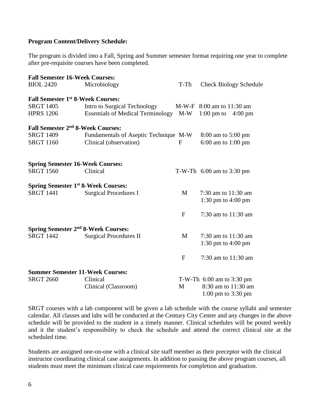#### **Program Content/Delivery Schedule:**

The program is divided into a Fall, Spring and Summer semester format requiring one year to complete after pre-requisite courses have been completed.

| <b>BIOL 2420</b><br>Microbiology                             | T-Th         | <b>Check Biology Schedule</b>                                 |
|--------------------------------------------------------------|--------------|---------------------------------------------------------------|
|                                                              |              |                                                               |
| <b>Fall Semester 1st 8-Week Courses:</b>                     |              |                                                               |
| <b>SRGT 1405</b><br>Intro to Surgical Technology             |              | M-W-F 8:00 am to 11:30 am                                     |
| <b>HPRS 1206</b><br><b>Essentials of Medical Terminology</b> | $M-W$        | $1:00 \text{ pm}$ to<br>$4:00 \text{ pm}$                     |
| Fall Semester 2 <sup>nd</sup> 8-Week Courses:                |              |                                                               |
| <b>SRGT 1409</b><br>Fundamentals of Aseptic Technique M-W    |              | 8:00 am to 5:00 pm                                            |
| <b>SRGT 1160</b><br>Clinical (observation)                   | $\mathbf{F}$ | $6:00$ am to $1:00$ pm                                        |
| <b>Spring Semester 16-Week Courses:</b>                      |              |                                                               |
| <b>SRGT 1560</b><br>Clinical                                 |              | T-W-Th $6:00$ am to 3:30 pm                                   |
| <b>Spring Semester 1st 8-Week Courses:</b>                   |              |                                                               |
| <b>SRGT 1441</b><br><b>Surgical Procedures I</b>             | M            | 7:30 am to 11:30 am                                           |
|                                                              |              | 1:30 pm to $4:00$ pm                                          |
|                                                              | $\mathbf{F}$ | 7:30 am to 11:30 am                                           |
| Spring Semester 2 <sup>nd</sup> 8-Week Courses:              |              |                                                               |
| <b>SRGT 1442</b><br><b>Surgical Procedures II</b>            | M            | 7:30 am to 11:30 am                                           |
|                                                              |              | 1:30 pm to $4:00$ pm                                          |
|                                                              | $\mathbf{F}$ | 7:30 am to 11:30 am                                           |
| <b>Summer Semester 11-Week Courses:</b>                      |              |                                                               |
| <b>SRGT 2660</b><br>Clinical                                 |              | T-W-Th $6:00$ am to 3:30 pm                                   |
| Clinical (Classroom)                                         | M            | 8:30 am to 11:30 am<br>$1:00 \text{ pm}$ to $3:30 \text{ pm}$ |

SRGT courses with a lab component will be given a lab schedule with the course syllabi and semester calendar. All classes and labs will be conducted at the Century City Center and any changes in the above schedule will be provided to the student in a timely manner. Clinical schedules will be posted weekly and it the student's responsibility to check the schedule and attend the correct clinical site at the scheduled time.

Students are assigned one-on-one with a clinical site staff member as their preceptor with the clinical instructor coordinating clinical case assignments. In addition to passing the above program courses, all students must meet the minimum clinical case requirements for completion and graduation.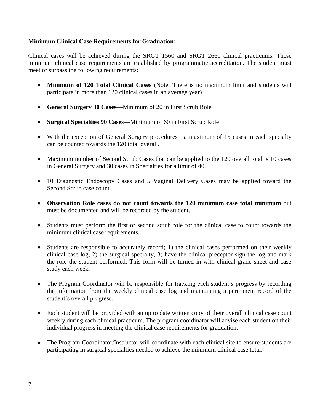## **Minimum Clinical Case Requirements for Graduation:**

Clinical cases will be achieved during the SRGT 1560 and SRGT 2660 clinical practicums. These minimum clinical case requirements are established by programmatic accreditation. The student must meet or surpass the following requirements:

- **Minimum of 120 Total Clinical Cases** (Note: There is no maximum limit and students will participate in more than 120 clinical cases in an average year)
- **General Surgery 30 Cases**—Minimum of 20 in First Scrub Role
- **Surgical Specialties 90 Cases**—Minimum of 60 in First Scrub Role
- With the exception of General Surgery procedures—a maximum of 15 cases in each specialty can be counted towards the 120 total overall.
- Maximum number of Second Scrub Cases that can be applied to the 120 overall total is 10 cases in General Surgery and 30 cases in Specialties for a limit of 40.
- 10 Diagnostic Endoscopy Cases and 5 Vaginal Delivery Cases may be applied toward the Second Scrub case count.
- **Observation Role cases do not count towards the 120 minimum case total minimum** but must be documented and will be recorded by the student.
- Students must perform the first or second scrub role for the clinical case to count towards the minimum clinical case requirements.
- Students are responsible to accurately record; 1) the clinical cases performed on their weekly clinical case log, 2) the surgical specialty, 3) have the clinical preceptor sign the log and mark the role the student performed. This form will be turned in with clinical grade sheet and case study each week.
- The Program Coordinator will be responsible for tracking each student's progress by recording the information from the weekly clinical case log and maintaining a permanent record of the student's overall progress.
- Each student will be provided with an up to date written copy of their overall clinical case count weekly during each clinical practicum. The program coordinator will advise each student on their individual progress in meeting the clinical case requirements for graduation.
- The Program Coordinator/Instructor will coordinate with each clinical site to ensure students are participating in surgical specialties needed to achieve the minimum clinical case total.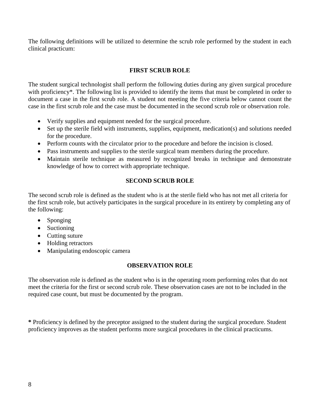The following definitions will be utilized to determine the scrub role performed by the student in each clinical practicum:

## **FIRST SCRUB ROLE**

The student surgical technologist shall perform the following duties during any given surgical procedure with proficiency<sup>\*</sup>. The following list is provided to identify the items that must be completed in order to document a case in the first scrub role. A student not meeting the five criteria below cannot count the case in the first scrub role and the case must be documented in the second scrub role or observation role.

- Verify supplies and equipment needed for the surgical procedure.
- Set up the sterile field with instruments, supplies, equipment, medication(s) and solutions needed for the procedure.
- Perform counts with the circulator prior to the procedure and before the incision is closed.
- Pass instruments and supplies to the sterile surgical team members during the procedure.
- Maintain sterile technique as measured by recognized breaks in technique and demonstrate knowledge of how to correct with appropriate technique.

#### **SECOND SCRUB ROLE**

The second scrub role is defined as the student who is at the sterile field who has not met all criteria for the first scrub role, but actively participates in the surgical procedure in its entirety by completing any of the following:

- Sponging
- Suctioning
- Cutting suture
- Holding retractors
- Manipulating endoscopic camera

#### **OBSERVATION ROLE**

The observation role is defined as the student who is in the operating room performing roles that do not meet the criteria for the first or second scrub role. These observation cases are not to be included in the required case count, but must be documented by the program.

**\*** Proficiency is defined by the preceptor assigned to the student during the surgical procedure. Student proficiency improves as the student performs more surgical procedures in the clinical practicums.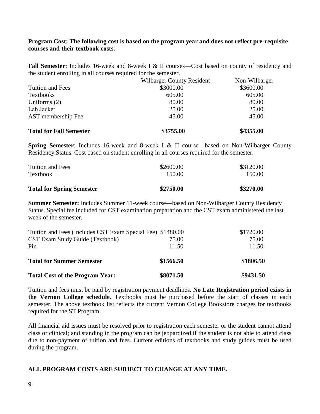#### **Program Cost: The following cost is based on the program year and does not reflect pre-requisite courses and their textbook costs.**

**Fall Semester:** Includes 16-week and 8-week I & II courses—Cost based on county of residency and the student enrolling in all courses required for the semester.

|                                | <b>Wilbarger County Resident</b> | Non-Wilbarger |
|--------------------------------|----------------------------------|---------------|
| Tuition and Fees               | \$3000.00                        | \$3600.00     |
| Textbooks                      | 605.00                           | 605.00        |
| Uniforms $(2)$                 | 80.00                            | 80.00         |
| Lab Jacket                     | 25.00                            | 25.00         |
| AST membership Fee             | 45.00                            | 45.00         |
| <b>Total for Fall Semester</b> | \$3755.00                        | \$4355.00     |

**Spring Semester**: Includes 16-week and 8-week I & II course—based on Non-Wilbarger County Residency Status. Cost based on student enrolling in all courses required for the semester.

| <b>Total for Spring Semester</b> | \$2750.00 | \$3270.00 |
|----------------------------------|-----------|-----------|
| <b>Textbook</b>                  | 150.00    | 150.00    |
| Tuition and Fees                 | \$2600.00 | \$3120.00 |

**Summer Semester:** Includes Summer 11-week course—based on Non-Wilbarger County Residency Status. Special fee included for CST examination preparation and the CST exam administered the last week of the semester.

| Tuition and Fees (Includes CST Exam Special Fee) \$1480.00 |           | \$1720.00 |
|------------------------------------------------------------|-----------|-----------|
| CST Exam Study Guide (Textbook)                            | 75.00     | 75.00     |
| Pin                                                        | 11.50     | 11.50     |
| <b>Total for Summer Semester</b>                           | \$1566.50 | \$1806.50 |
| <b>Total Cost of the Program Year:</b>                     | \$8071.50 | \$9431.50 |

Tuition and fees must be paid by registration payment deadlines. **No Late Registration period exists in the Vernon College schedule.** Textbooks must be purchased before the start of classes in each semester. The above textbook list reflects the current Vernon College Bookstore charges for textbooks required for the ST Program.

All financial aid issues must be resolved prior to registration each semester or the student cannot attend class or clinical; and standing in the program can be jeopardized if the student is not able to attend class due to non-payment of tuition and fees. Current editions of textbooks and study guides must be used during the program.

## **ALL PROGRAM COSTS ARE SUBJECT TO CHANGE AT ANY TIME.**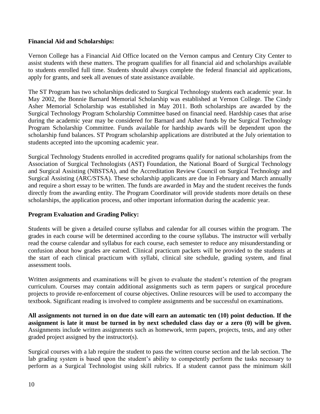#### **Financial Aid and Scholarships:**

Vernon College has a Financial Aid Office located on the Vernon campus and Century City Center to assist students with these matters. The program qualifies for all financial aid and scholarships available to students enrolled full time. Students should always complete the federal financial aid applications, apply for grants, and seek all avenues of state assistance available.

The ST Program has two scholarships dedicated to Surgical Technology students each academic year. In May 2002, the Bonnie Barnard Memorial Scholarship was established at Vernon College. The Cindy Asher Memorial Scholarship was established in May 2011. Both scholarships are awarded by the Surgical Technology Program Scholarship Committee based on financial need. Hardship cases that arise during the academic year may be considered for Barnard and Asher funds by the Surgical Technology Program Scholarship Committee. Funds available for hardship awards will be dependent upon the scholarship fund balances. ST Program scholarship applications are distributed at the July orientation to students accepted into the upcoming academic year.

Surgical Technology Students enrolled in accredited programs qualify for national scholarships from the Association of Surgical Technologists (AST) Foundation, the National Board of Surgical Technology and Surgical Assisting (NBSTSA), and the Accreditation Review Council on Surgical Technology and Surgical Assisting (ARC/STSA). These scholarship applicants are due in February and March annually and require a short essay to be written. The funds are awarded in May and the student receives the funds directly from the awarding entity. The Program Coordinator will provide students more details on these scholarships, the application process, and other important information during the academic year.

## **Program Evaluation and Grading Policy:**

Students will be given a detailed course syllabus and calendar for all courses within the program. The grades in each course will be determined according to the course syllabus. The instructor will verbally read the course calendar and syllabus for each course, each semester to reduce any misunderstanding or confusion about how grades are earned. Clinical practicum packets will be provided to the students at the start of each clinical practicum with syllabi, clinical site schedule, grading system, and final assessment tools.

Written assignments and examinations will be given to evaluate the student's retention of the program curriculum. Courses may contain additional assignments such as term papers or surgical procedure projects to provide re-enforcement of course objectives. Online resources will be used to accompany the textbook. Significant reading is involved to complete assignments and be successful on examinations.

**All assignments not turned in on due date will earn an automatic ten (10) point deduction. If the assignment is late it must be turned in by next scheduled class day or a zero (0) will be given.**  Assignments include written assignments such as homework, term papers, projects, tests, and any other graded project assigned by the instructor(s).

Surgical courses with a lab require the student to pass the written course section and the lab section. The lab grading system is based upon the student's ability to competently perform the tasks necessary to perform as a Surgical Technologist using skill rubrics. If a student cannot pass the minimum skill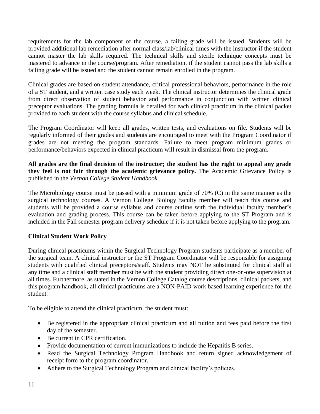requirements for the lab component of the course, a failing grade will be issued. Students will be provided additional lab remediation after normal class/lab/clinical times with the instructor if the student cannot master the lab skills required. The technical skills and sterile technique concepts must be mastered to advance in the course/program. After remediation, if the student cannot pass the lab skills a failing grade will be issued and the student cannot remain enrolled in the program.

Clinical grades are based on student attendance, critical professional behaviors, performance in the role of a ST student, and a written case study each week. The clinical instructor determines the clinical grade from direct observation of student behavior and performance in conjunction with written clinical preceptor evaluations. The grading formula is detailed for each clinical practicum in the clinical packet provided to each student with the course syllabus and clinical schedule.

The Program Coordinator will keep all grades, written tests, and evaluations on file. Students will be regularly informed of their grades and students are encouraged to meet with the Program Coordinator if grades are not meeting the program standards. Failure to meet program minimum grades or performance/behaviors expected in clinical practicum will result in dismissal from the program.

**All grades are the final decision of the instructor; the student has the right to appeal any grade they feel is not fair through the academic grievance policy.** The Academic Grievance Policy is published in the *Vernon College Student Handbook*.

The Microbiology course must be passed with a minimum grade of 70% (C) in the same manner as the surgical technology courses. A Vernon College Biology faculty member will teach this course and students will be provided a course syllabus and course outline with the individual faculty member's evaluation and grading process. This course can be taken before applying to the ST Program and is included in the Fall semester program delivery schedule if it is not taken before applying to the program.

## **Clinical Student Work Policy**

During clinical practicums within the Surgical Technology Program students participate as a member of the surgical team. A clinical instructor or the ST Program Coordinator will be responsible for assigning students with qualified clinical preceptors/staff. Students may NOT be substituted for clinical staff at any time and a clinical staff member must be with the student providing direct one-on-one supervision at all times. Furthermore, as stated in the Vernon College Catalog course descriptions, clinical packets, and this program handbook, all clinical practicums are a NON-PAID work based learning experience for the student.

To be eligible to attend the clinical practicum, the student must:

- Be registered in the appropriate clinical practicum and all tuition and fees paid before the first day of the semester.
- Be current in CPR certification.
- Provide documentation of current immunizations to include the Hepatitis B series.
- Read the Surgical Technology Program Handbook and return signed acknowledgement of receipt form to the program coordinator.
- Adhere to the Surgical Technology Program and clinical facility's policies.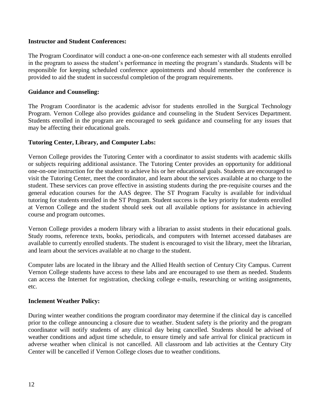#### **Instructor and Student Conferences:**

The Program Coordinator will conduct a one-on-one conference each semester with all students enrolled in the program to assess the student's performance in meeting the program's standards. Students will be responsible for keeping scheduled conference appointments and should remember the conference is provided to aid the student in successful completion of the program requirements.

## **Guidance and Counseling:**

The Program Coordinator is the academic advisor for students enrolled in the Surgical Technology Program. Vernon College also provides guidance and counseling in the Student Services Department. Students enrolled in the program are encouraged to seek guidance and counseling for any issues that may be affecting their educational goals.

#### **Tutoring Center, Library, and Computer Labs:**

Vernon College provides the Tutoring Center with a coordinator to assist students with academic skills or subjects requiring additional assistance. The Tutoring Center provides an opportunity for additional one-on-one instruction for the student to achieve his or her educational goals. Students are encouraged to visit the Tutoring Center, meet the coordinator, and learn about the services available at no charge to the student. These services can prove effective in assisting students during the pre-requisite courses and the general education courses for the AAS degree. The ST Program Faculty is available for individual tutoring for students enrolled in the ST Program. Student success is the key priority for students enrolled at Vernon College and the student should seek out all available options for assistance in achieving course and program outcomes.

Vernon College provides a modern library with a librarian to assist students in their educational goals. Study rooms, reference texts, books, periodicals, and computers with Internet accessed databases are available to currently enrolled students. The student is encouraged to visit the library, meet the librarian, and learn about the services available at no charge to the student.

Computer labs are located in the library and the Allied Health section of Century City Campus. Current Vernon College students have access to these labs and are encouraged to use them as needed. Students can access the Internet for registration, checking college e-mails, researching or writing assignments, etc.

#### **Inclement Weather Policy:**

During winter weather conditions the program coordinator may determine if the clinical day is cancelled prior to the college announcing a closure due to weather. Student safety is the priority and the program coordinator will notify students of any clinical day being cancelled. Students should be advised of weather conditions and adjust time schedule, to ensure timely and safe arrival for clinical practicum in adverse weather when clinical is not cancelled. All classroom and lab activities at the Century City Center will be cancelled if Vernon College closes due to weather conditions.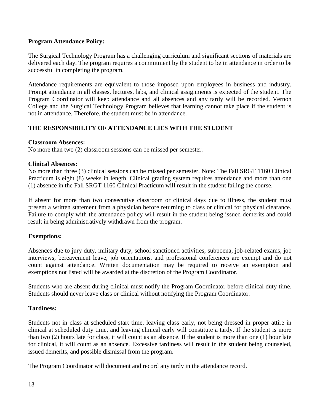## **Program Attendance Policy:**

The Surgical Technology Program has a challenging curriculum and significant sections of materials are delivered each day. The program requires a commitment by the student to be in attendance in order to be successful in completing the program.

Attendance requirements are equivalent to those imposed upon employees in business and industry. Prompt attendance in all classes, lectures, labs, and clinical assignments is expected of the student. The Program Coordinator will keep attendance and all absences and any tardy will be recorded. Vernon College and the Surgical Technology Program believes that learning cannot take place if the student is not in attendance. Therefore, the student must be in attendance.

# **THE RESPONSIBILITY OF ATTENDANCE LIES WITH THE STUDENT**

#### **Classroom Absences:**

No more than two (2) classroom sessions can be missed per semester.

#### **Clinical Absences:**

No more than three (3) clinical sessions can be missed per semester. Note: The Fall SRGT 1160 Clinical Practicum is eight (8) weeks in length. Clinical grading system requires attendance and more than one (1) absence in the Fall SRGT 1160 Clinical Practicum will result in the student failing the course.

If absent for more than two consecutive classroom or clinical days due to illness, the student must present a written statement from a physician before returning to class or clinical for physical clearance. Failure to comply with the attendance policy will result in the student being issued demerits and could result in being administratively withdrawn from the program.

## **Exemptions:**

Absences due to jury duty, military duty, school sanctioned activities, subpoena, job-related exams, job interviews, bereavement leave, job orientations, and professional conferences are exempt and do not count against attendance. Written documentation may be required to receive an exemption and exemptions not listed will be awarded at the discretion of the Program Coordinator.

Students who are absent during clinical must notify the Program Coordinator before clinical duty time. Students should never leave class or clinical without notifying the Program Coordinator.

## **Tardiness:**

Students not in class at scheduled start time, leaving class early, not being dressed in proper attire in clinical at scheduled duty time, and leaving clinical early will constitute a tardy. If the student is more than two (2) hours late for class, it will count as an absence. If the student is more than one (1) hour late for clinical, it will count as an absence. Excessive tardiness will result in the student being counseled, issued demerits, and possible dismissal from the program.

The Program Coordinator will document and record any tardy in the attendance record.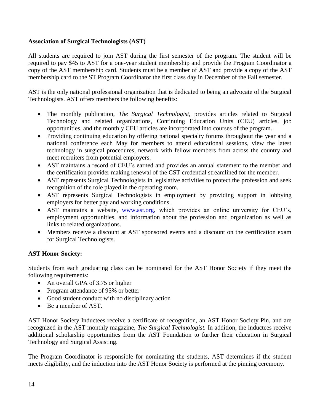## **Association of Surgical Technologists (AST)**

All students are required to join AST during the first semester of the program. The student will be required to pay \$45 to AST for a one-year student membership and provide the Program Coordinator a copy of the AST membership card. Students must be a member of AST and provide a copy of the AST membership card to the ST Program Coordinator the first class day in December of the Fall semester.

AST is the only national professional organization that is dedicated to being an advocate of the Surgical Technologists. AST offers members the following benefits:

- The monthly publication, *The Surgical Technologist,* provides articles related to Surgical Technology and related organizations, Continuing Education Units (CEU) articles, job opportunities, and the monthly CEU articles are incorporated into courses of the program.
- Providing continuing education by offering national specialty forums throughout the year and a national conference each May for members to attend educational sessions, view the latest technology in surgical procedures, network with fellow members from across the country and meet recruiters from potential employers.
- AST maintains a record of CEU's earned and provides an annual statement to the member and the certification provider making renewal of the CST credential streamlined for the member.
- AST represents Surgical Technologists in legislative activities to protect the profession and seek recognition of the role played in the operating room.
- AST represents Surgical Technologists in employment by providing support in lobbying employers for better pay and working conditions.
- AST maintains a website, [www.ast.org,](http://www.ast.org/) which provides an online university for CEU's, employment opportunities, and information about the profession and organization as well as links to related organizations.
- Members receive a discount at AST sponsored events and a discount on the certification exam for Surgical Technologists.

# **AST Honor Society:**

Students from each graduating class can be nominated for the AST Honor Society if they meet the following requirements:

- An overall GPA of 3.75 or higher
- Program attendance of 95% or better
- Good student conduct with no disciplinary action
- Be a member of AST.

AST Honor Society Inductees receive a certificate of recognition, an AST Honor Society Pin, and are recognized in the AST monthly magazine, *The Surgical Technologist.* In addition, the inductees receive additional scholarship opportunities from the AST Foundation to further their education in Surgical Technology and Surgical Assisting.

The Program Coordinator is responsible for nominating the students, AST determines if the student meets eligibility, and the induction into the AST Honor Society is performed at the pinning ceremony.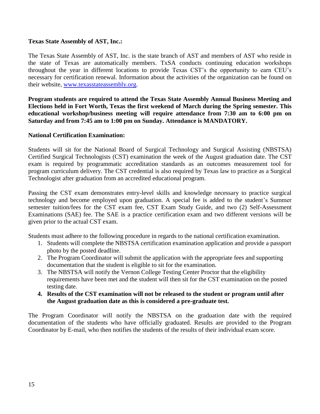#### **Texas State Assembly of AST, Inc.:**

The Texas State Assembly of AST, Inc. is the state branch of AST and members of AST who reside in the state of Texas are automatically members. TxSA conducts continuing education workshops throughout the year in different locations to provide Texas CST's the opportunity to earn CEU's necessary for certification renewal. Information about the activities of the organization can be found on their website, [www.texasstateassembly.org.](http://www.texasstateassembly.org/)

**Program students are required to attend the Texas State Assembly Annual Business Meeting and Elections held in Fort Worth, Texas the first weekend of March during the Spring semester. This educational workshop/business meeting will require attendance from 7:30 am to 6:00 pm on Saturday and from 7:45 am to 1:00 pm on Sunday. Attendance is MANDATORY.** 

#### **National Certification Examination:**

Students will sit for the National Board of Surgical Technology and Surgical Assisting (NBSTSA) Certified Surgical Technologists (CST) examination the week of the August graduation date. The CST exam is required by programmatic accreditation standards as an outcomes measurement tool for program curriculum delivery. The CST credential is also required by Texas law to practice as a Surgical Technologist after graduation from an accredited educational program.

Passing the CST exam demonstrates entry-level skills and knowledge necessary to practice surgical technology and become employed upon graduation. A special fee is added to the student's Summer semester tuition/fees for the CST exam fee, CST Exam Study Guide, and two (2) Self-Assessment Examinations (SAE) fee. The SAE is a practice certification exam and two different versions will be given prior to the actual CST exam.

Students must adhere to the following procedure in regards to the national certification examination.

- 1. Students will complete the NBSTSA certification examination application and provide a passport photo by the posted deadline.
- 2. The Program Coordinator will submit the application with the appropriate fees and supporting documentation that the student is eligible to sit for the examination.
- 3. The NBSTSA will notify the Vernon College Testing Center Proctor that the eligibility requirements have been met and the student will then sit for the CST examination on the posted testing date.
- **4. Results of the CST examination will not be released to the student or program until after the August graduation date as this is considered a pre-graduate test.**

The Program Coordinator will notify the NBSTSA on the graduation date with the required documentation of the students who have officially graduated. Results are provided to the Program Coordinator by E-mail, who then notifies the students of the results of their individual exam score.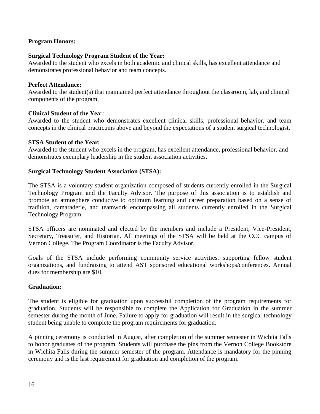## **Program Honors:**

#### **Surgical Technology Program Student of the Year:**

Awarded to the student who excels in both academic and clinical skills, has excellent attendance and demonstrates professional behavior and team concepts.

#### **Perfect Attendance:**

Awarded to the student(s) that maintained perfect attendance throughout the classroom, lab, and clinical components of the program.

#### **Clinical Student of the Yea**r:

Awarded to the student who demonstrates excellent clinical skills, professional behavior, and team concepts in the clinical practicums above and beyond the expectations of a student surgical technologist.

#### **STSA Student of the Year:**

Awarded to the student who excels in the program, has excellent attendance, professional behavior, and demonstrates exemplary leadership in the student association activities.

#### **Surgical Technology Student Association (STSA):**

The STSA is a voluntary student organization composed of students currently enrolled in the Surgical Technology Program and the Faculty Advisor. The purpose of this association is to establish and promote an atmosphere conducive to optimum learning and career preparation based on a sense of tradition, camaraderie, and teamwork encompassing all students currently enrolled in the Surgical Technology Program.

STSA officers are nominated and elected by the members and include a President, Vice-President, Secretary, Treasurer, and Historian. All meetings of the STSA will be held at the CCC campus of Vernon College. The Program Coordinator is the Faculty Advisor.

Goals of the STSA include performing community service activities, supporting fellow student organizations, and fundraising to attend AST sponsored educational workshops/conferences. Annual dues for membership are \$10.

#### **Graduation:**

The student is eligible for graduation upon successful completion of the program requirements for graduation. Students will be responsible to complete the Application for Graduation in the summer semester during the month of June. Failure to apply for graduation will result in the surgical technology student being unable to complete the program requirements for graduation.

A pinning ceremony is conducted in August, after completion of the summer semester in Wichita Falls to honor graduates of the program. Students will purchase the pins from the Vernon College Bookstore in Wichita Falls during the summer semester of the program. Attendance is mandatory for the pinning ceremony and is the last requirement for graduation and completion of the program.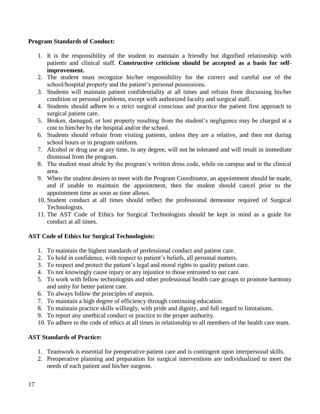## **Program Standards of Conduct:**

- 1. It is the responsibility of the student to maintain a friendly but dignified relationship with patients and clinical staff. **Constructive criticism should be accepted as a basis for selfimprovement.**
- 2. The student must recognize his/her responsibility for the correct and careful use of the school/hospital property and the patient's personal possessions.
- 3. Students will maintain patient confidentiality at all times and refrain from discussing his/her condition or personal problems, except with authorized faculty and surgical staff.
- 4. Students should adhere to a strict surgical conscious and practice the patient first approach to surgical patient care.
- 5. Broken, damaged, or lost property resulting from the student's negligence may be charged at a cost to him/her by the hospital and/or the school.
- 6. Students should refrain from visiting patients, unless they are a relative, and then not during school hours or in program uniform.
- 7. Alcohol or drug use at any time, in any degree, will not be tolerated and will result in immediate dismissal from the program.
- 8. The student must abide by the program's written dress code, while on campus and in the clinical area.
- 9. When the student desires to meet with the Program Coordinator, an appointment should be made, and if unable to maintain the appointment, then the student should cancel prior to the appointment time as soon as time allows.
- 10. Student conduct at all times should reflect the professional demeanor required of Surgical Technologists.
- 11. The AST Code of Ethics for Surgical Technologists should be kept in mind as a guide for conduct at all times.

## **AST Code of Ethics for Surgical Technologists:**

- 1. To maintain the highest standards of professional conduct and patient care.
- 2. To hold in confidence, with respect to patient's beliefs, all personal matters.
- 3. To respect and protect the patient's legal and moral rights to quality patient care.
- 4. To not knowingly cause injury or any injustice to those entrusted to our care.
- 5. To work with fellow technologists and other professional health care groups to promote harmony and unity for better patient care.
- 6. To always follow the principles of asepsis.
- 7. To maintain a high degree of efficiency through continuing education.
- 8. To maintain practice skills willingly, with pride and dignity, and full regard to limitations.
- 9. To report any unethical conduct or practice to the proper authority.
- 10. To adhere to the code of ethics at all times in relationship to all members of the health care team.

## **AST Standards of Practice:**

- 1. Teamwork is essential for preoperative patient care and is contingent upon interpersonal skills.
- 2. Preoperative planning and preparation for surgical interventions are individualized to meet the needs of each patient and his/her surgeon.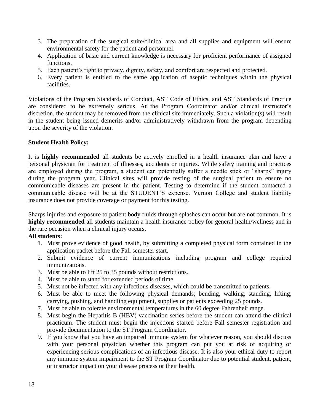- 3. The preparation of the surgical suite/clinical area and all supplies and equipment will ensure environmental safety for the patient and personnel.
- 4. Application of basic and current knowledge is necessary for proficient performance of assigned functions.
- 5. Each patient's right to privacy, dignity, safety, and comfort are respected and protected.
- 6. Every patient is entitled to the same application of aseptic techniques within the physical facilities.

Violations of the Program Standards of Conduct, AST Code of Ethics, and AST Standards of Practice are considered to be extremely serious. At the Program Coordinator and/or clinical instructor's discretion, the student may be removed from the clinical site immediately. Such a violation(s) will result in the student being issued demerits and/or administratively withdrawn from the program depending upon the severity of the violation.

## **Student Health Policy:**

It is **highly recommended** all students be actively enrolled in a health insurance plan and have a personal physician for treatment of illnesses, accidents or injuries. While safety training and practices are employed during the program, a student can potentially suffer a needle stick or "sharps" injury during the program year. Clinical sites will provide testing of the surgical patient to ensure no communicable diseases are present in the patient. Testing to determine if the student contacted a communicable disease will be at the STUDENT'S expense. Vernon College and student liability insurance does not provide coverage or payment for this testing.

Sharps injuries and exposure to patient body fluids through splashes can occur but are not common. It is **highly recommended** all students maintain a health insurance policy for general health/wellness and in the rare occasion when a clinical injury occurs.

## **All students:**

- 1. Must prove evidence of good health, by submitting a completed physical form contained in the application packet before the Fall semester start.
- 2. Submit evidence of current immunizations including program and college required immunizations.
- 3. Must be able to lift 25 to 35 pounds without restrictions.
- 4. Must be able to stand for extended periods of time.
- 5. Must not be infected with any infectious diseases, which could be transmitted to patients.
- 6. Must be able to meet the following physical demands; bending, walking, standing, lifting, carrying, pushing, and handling equipment, supplies or patients exceeding 25 pounds.
- 7. Must be able to tolerate environmental temperatures in the 60 degree Fahrenheit range.
- 8. Must begin the Hepatitis B (HBV) vaccination series before the student can attend the clinical practicum. The student must begin the injections started before Fall semester registration and provide documentation to the ST Program Coordinator.
- 9. If you know that you have an impaired immune system for whatever reason, you should discuss with your personal physician whether this program can put you at risk of acquiring or experiencing serious complications of an infectious disease. It is also your ethical duty to report any immune system impairment to the ST Program Coordinator due to potential student, patient, or instructor impact on your disease process or their health.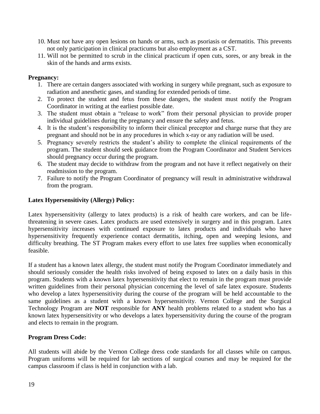- 10. Must not have any open lesions on hands or arms, such as psoriasis or dermatitis. This prevents not only participation in clinical practicums but also employment as a CST.
- 11. Will not be permitted to scrub in the clinical practicum if open cuts, sores, or any break in the skin of the hands and arms exists.

## **Pregnancy:**

- 1. There are certain dangers associated with working in surgery while pregnant, such as exposure to radiation and anesthetic gases, and standing for extended periods of time.
- 2. To protect the student and fetus from these dangers, the student must notify the Program Coordinator in writing at the earliest possible date.
- 3. The student must obtain a "release to work" from their personal physician to provide proper individual guidelines during the pregnancy and ensure the safety and fetus.
- 4. It is the student's responsibility to inform their clinical preceptor and charge nurse that they are pregnant and should not be in any procedures in which x-ray or any radiation will be used.
- 5. Pregnancy severely restricts the student's ability to complete the clinical requirements of the program. The student should seek guidance from the Program Coordinator and Student Services should pregnancy occur during the program.
- 6. The student may decide to withdraw from the program and not have it reflect negatively on their readmission to the program.
- 7. Failure to notify the Program Coordinator of pregnancy will result in administrative withdrawal from the program.

#### **Latex Hypersensitivity (Allergy) Policy:**

Latex hypersensitivity (allergy to latex products) is a risk of health care workers, and can be lifethreatening in severe cases. Latex products are used extensively in surgery and in this program. Latex hypersensitivity increases with continued exposure to latex products and individuals who have hypersensitivity frequently experience contact dermatitis, itching, open and weeping lesions, and difficulty breathing. The ST Program makes every effort to use latex free supplies when economically feasible.

If a student has a known latex allergy, the student must notify the Program Coordinator immediately and should seriously consider the health risks involved of being exposed to latex on a daily basis in this program. Students with a known latex hypersensitivity that elect to remain in the program must provide written guidelines from their personal physician concerning the level of safe latex exposure. Students who develop a latex hypersensitivity during the course of the program will be held accountable to the same guidelines as a student with a known hypersensitivity. Vernon College and the Surgical Technology Program are **NOT** responsible for **ANY** health problems related to a student who has a known latex hypersensitivity or who develops a latex hypersensitivity during the course of the program and elects to remain in the program.

#### **Program Dress Code:**

All students will abide by the Vernon College dress code standards for all classes while on campus. Program uniforms will be required for lab sections of surgical courses and may be required for the campus classroom if class is held in conjunction with a lab.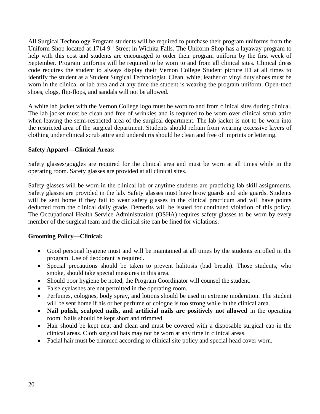All Surgical Technology Program students will be required to purchase their program uniforms from the Uniform Shop located at 1714 9<sup>th</sup> Street in Wichita Falls. The Uniform Shop has a layaway program to help with this cost and students are encouraged to order their program uniform by the first week of September. Program uniforms will be required to be worn to and from all clinical sites. Clinical dress code requires the student to always display their Vernon College Student picture ID at all times to identify the student as a Student Surgical Technologist. Clean, white, leather or vinyl duty shoes must be worn in the clinical or lab area and at any time the student is wearing the program uniform. Open-toed shoes, clogs, flip-flops, and sandals will not be allowed.

A white lab jacket with the Vernon College logo must be worn to and from clinical sites during clinical. The lab jacket must be clean and free of wrinkles and is required to be worn over clinical scrub attire when leaving the semi-restricted area of the surgical department. The lab jacket is not to be worn into the restricted area of the surgical department. Students should refrain from wearing excessive layers of clothing under clinical scrub attire and undershirts should be clean and free of imprints or lettering.

## **Safety Apparel—Clinical Areas:**

Safety glasses/goggles are required for the clinical area and must be worn at all times while in the operating room. Safety glasses are provided at all clinical sites.

Safety glasses will be worn in the clinical lab or anytime students are practicing lab skill assignments. Safety glasses are provided in the lab. Safety glasses must have brow guards and side guards. Students will be sent home if they fail to wear safety glasses in the clinical practicum and will have points deducted from the clinical daily grade. Demerits will be issued for continued violation of this policy. The Occupational Health Service Administration (OSHA) requires safety glasses to be worn by every member of the surgical team and the clinical site can be fined for violations.

## **Grooming Policy—Clinical:**

- Good personal hygiene must and will be maintained at all times by the students enrolled in the program. Use of deodorant is required.
- Special precautions should be taken to prevent halitosis (bad breath). Those students, who smoke, should take special measures in this area.
- Should poor hygiene be noted, the Program Coordinator will counsel the student.
- False eyelashes are not permitted in the operating room.
- Perfumes, colognes, body spray, and lotions should be used in extreme moderation. The student will be sent home if his or her perfume or cologne is too strong while in the clinical area.
- **Nail polish**, **sculpted nails, and artificial nails are positively not allowed** in the operating room. Nails should be kept short and trimmed.
- Hair should be kept neat and clean and must be covered with a disposable surgical cap in the clinical areas. Cloth surgical hats may not be worn at any time in clinical areas.
- Facial hair must be trimmed according to clinical site policy and special head cover worn.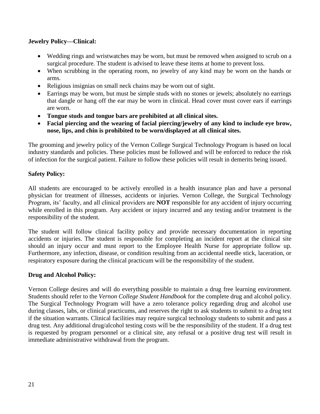## **Jewelry Policy—Clinical:**

- Wedding rings and wristwatches may be worn, but must be removed when assigned to scrub on a surgical procedure. The student is advised to leave these items at home to prevent loss.
- When scrubbing in the operating room, no jewelry of any kind may be worn on the hands or arms.
- Religious insignias on small neck chains may be worn out of sight.
- Earrings may be worn, but must be simple studs with no stones or jewels; absolutely no earrings that dangle or hang off the ear may be worn in clinical. Head cover must cover ears if earrings are worn.
- **Tongue studs and tongue bars are prohibited at all clinical sites.**
- **Facial piercing and the wearing of facial piercing/jewelry of any kind to include eye brow, nose, lips, and chin is prohibited to be worn/displayed at all clinical sites.**

The grooming and jewelry policy of the Vernon College Surgical Technology Program is based on local industry standards and policies. These policies must be followed and will be enforced to reduce the risk of infection for the surgical patient. Failure to follow these policies will result in demerits being issued.

## **Safety Policy:**

All students are encouraged to be actively enrolled in a health insurance plan and have a personal physician for treatment of illnesses, accidents or injuries. Vernon College, the Surgical Technology Program, its' faculty, and all clinical providers are **NOT** responsible for any accident of injury occurring while enrolled in this program. Any accident or injury incurred and any testing and/or treatment is the responsibility of the student.

The student will follow clinical facility policy and provide necessary documentation in reporting accidents or injuries. The student is responsible for completing an incident report at the clinical site should an injury occur and must report to the Employee Health Nurse for appropriate follow up. Furthermore, any infection, disease, or condition resulting from an accidental needle stick, laceration, or respiratory exposure during the clinical practicum will be the responsibility of the student.

## **Drug and Alcohol Policy:**

Vernon College desires and will do everything possible to maintain a drug free learning environment. Students should refer to the *Vernon College Student Handbook* for the complete drug and alcohol policy. The Surgical Technology Program will have a zero tolerance policy regarding drug and alcohol use during classes, labs, or clinical practicums, and reserves the right to ask students to submit to a drug test if the situation warrants. Clinical facilities may require surgical technology students to submit and pass a drug test. Any additional drug/alcohol testing costs will be the responsibility of the student. If a drug test is requested by program personnel or a clinical site, any refusal or a positive drug test will result in immediate administrative withdrawal from the program.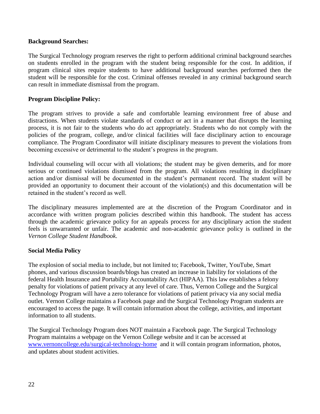#### **Background Searches:**

The Surgical Technology program reserves the right to perform additional criminal background searches on students enrolled in the program with the student being responsible for the cost. In addition, if program clinical sites require students to have additional background searches performed then the student will be responsible for the cost. Criminal offenses revealed in any criminal background search can result in immediate dismissal from the program.

#### **Program Discipline Policy:**

The program strives to provide a safe and comfortable learning environment free of abuse and distractions. When students violate standards of conduct or act in a manner that disrupts the learning process, it is not fair to the students who do act appropriately. Students who do not comply with the policies of the program, college, and/or clinical facilities will face disciplinary action to encourage compliance. The Program Coordinator will initiate disciplinary measures to prevent the violations from becoming excessive or detrimental to the student's progress in the program.

Individual counseling will occur with all violations; the student may be given demerits, and for more serious or continued violations dismissed from the program. All violations resulting in disciplinary action and/or dismissal will be documented in the student's permanent record. The student will be provided an opportunity to document their account of the violation(s) and this documentation will be retained in the student's record as well.

The disciplinary measures implemented are at the discretion of the Program Coordinator and in accordance with written program policies described within this handbook. The student has access through the academic grievance policy for an appeals process for any disciplinary action the student feels is unwarranted or unfair. The academic and non-academic grievance policy is outlined in the *Vernon College Student Handbook*.

#### **Social Media Policy**

The explosion of social media to include, but not limited to; Facebook, Twitter, YouTube, Smart phones, and various discussion boards/blogs has created an increase in liability for violations of the federal Health Insurance and Portability Accountability Act (HIPAA). This law establishes a felony penalty for violations of patient privacy at any level of care. Thus, Vernon College and the Surgical Technology Program will have a zero tolerance for violations of patient privacy via any social media outlet. Vernon College maintains a Facebook page and the Surgical Technology Program students are encouraged to access the page. It will contain information about the college, activities, and important information to all students.

The Surgical Technology Program does NOT maintain a Facebook page. The Surgical Technology Program maintains a webpage on the Vernon College website and it can be accessed at [www.vernoncollege.edu/surgical-technology-home](http://www.vernoncollege.edu/surgical-technology-home) and it will contain program information, photos, and updates about student activities.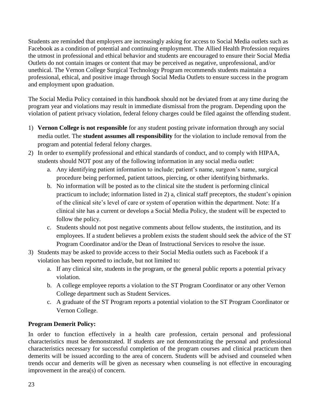Students are reminded that employers are increasingly asking for access to Social Media outlets such as Facebook as a condition of potential and continuing employment. The Allied Health Profession requires the utmost in professional and ethical behavior and students are encouraged to ensure their Social Media Outlets do not contain images or content that may be perceived as negative, unprofessional, and/or unethical. The Vernon College Surgical Technology Program recommends students maintain a professional, ethical, and positive image through Social Media Outlets to ensure success in the program and employment upon graduation.

The Social Media Policy contained in this handbook should not be deviated from at any time during the program year and violations may result in immediate dismissal from the program. Depending upon the violation of patient privacy violation, federal felony charges could be filed against the offending student.

- 1) **Vernon College is not responsible** for any student posting private information through any social media outlet. The **student assumes all responsibility** for the violation to include removal from the program and potential federal felony charges.
- 2) In order to exemplify professional and ethical standards of conduct, and to comply with HIPAA, students should NOT post any of the following information in any social media outlet:
	- a. Any identifying patient information to include; patient's name, surgeon's name, surgical procedure being performed, patient tattoos, piercing, or other identifying birthmarks.
	- b. No information will be posted as to the clinical site the student is performing clinical practicum to include; information listed in 2) a, clinical staff preceptors, the student's opinion of the clinical site's level of care or system of operation within the department. Note: If a clinical site has a current or develops a Social Media Policy, the student will be expected to follow the policy.
	- c. Students should not post negative comments about fellow students, the institution, and its employees. If a student believes a problem exists the student should seek the advice of the ST Program Coordinator and/or the Dean of Instructional Services to resolve the issue.
- 3) Students may be asked to provide access to their Social Media outlets such as Facebook if a violation has been reported to include, but not limited to:
	- a. If any clinical site, students in the program, or the general public reports a potential privacy violation.
	- b. A college employee reports a violation to the ST Program Coordinator or any other Vernon College department such as Student Services.
	- c. A graduate of the ST Program reports a potential violation to the ST Program Coordinator or Vernon College.

# **Program Demerit Policy:**

In order to function effectively in a health care profession, certain personal and professional characteristics must be demonstrated. If students are not demonstrating the personal and professional characteristics necessary for successful completion of the program courses and clinical practicum then demerits will be issued according to the area of concern. Students will be advised and counseled when trends occur and demerits will be given as necessary when counseling is not effective in encouraging improvement in the area(s) of concern.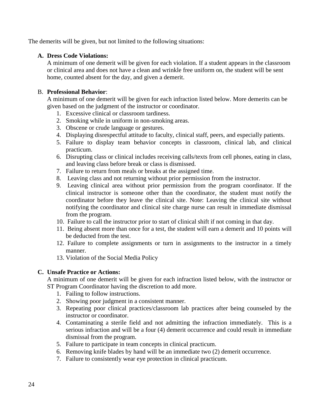The demerits will be given, but not limited to the following situations:

## **A. Dress Code Violations:**

A minimum of one demerit will be given for each violation. If a student appears in the classroom or clinical area and does not have a clean and wrinkle free uniform on, the student will be sent home, counted absent for the day, and given a demerit.

## B. **Professional Behavior**:

A minimum of one demerit will be given for each infraction listed below. More demerits can be given based on the judgment of the instructor or coordinator.

- 1. Excessive clinical or classroom tardiness.
- 2. Smoking while in uniform in non-smoking areas.
- 3. Obscene or crude language or gestures.
- 4. Displaying disrespectful attitude to faculty, clinical staff, peers, and especially patients.
- 5. Failure to display team behavior concepts in classroom, clinical lab, and clinical practicum.
- 6. Disrupting class or clinical includes receiving calls/texts from cell phones, eating in class, and leaving class before break or class is dismissed.
- 7. Failure to return from meals or breaks at the assigned time.
- 8. Leaving class and not returning without prior permission from the instructor.
- 9. Leaving clinical area without prior permission from the program coordinator. If the clinical instructor is someone other than the coordinator, the student must notify the coordinator before they leave the clinical site. Note: Leaving the clinical site without notifying the coordinator and clinical site charge nurse can result in immediate dismissal from the program.
- 10. Failure to call the instructor prior to start of clinical shift if not coming in that day.
- 11. Being absent more than once for a test, the student will earn a demerit and 10 points will be deducted from the test.
- 12. Failure to complete assignments or turn in assignments to the instructor in a timely manner.
- 13. Violation of the Social Media Policy

# **C. Unsafe Practice or Actions:**

A minimum of one demerit will be given for each infraction listed below, with the instructor or ST Program Coordinator having the discretion to add more.

- 1. Failing to follow instructions.
- 2. Showing poor judgment in a consistent manner.
- 3. Repeating poor clinical practices/classroom lab practices after being counseled by the instructor or coordinator.
- 4. Contaminating a sterile field and not admitting the infraction immediately. This is a serious infraction and will be a four (4) demerit occurrence and could result in immediate dismissal from the program.
- 5. Failure to participate in team concepts in clinical practicum.
- 6. Removing knife blades by hand will be an immediate two (2) demerit occurrence.
- 7. Failure to consistently wear eye protection in clinical practicum.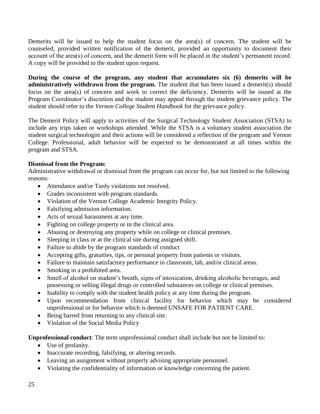Demerits will be issued to help the student focus on the  $area(s)$  of concern. The student will be counseled, provided written notification of the demerit, provided an opportunity to document their account of the area(s) of concern, and the demerit form will be placed in the student's permanent record. A copy will be provided to the student upon request.

**During the course of the program, any student that accumulates six (6) demerits will be administratively withdrawn from the program.** The student that has been issued a demerit(s) should focus on the area(s) of concern and work to correct the deficiency. Demerits will be issued at the Program Coordinator's discretion and the student may appeal through the student grievance policy. The student should refer to the *Vernon College Student Handbook* for the grievance policy.

The Demerit Policy will apply to activities of the Surgical Technology Student Association (STSA) to include any trips taken or workshops attended. While the STSA is a voluntary student association the student surgical technologist and their actions will be considered a reflection of the program and Vernon College. Professional, adult behavior will be expected to be demonstrated at all times within the program and STSA.

## **Dismissal from the Program:**

Administrative withdrawal or dismissal from the program can occur for, but not limited to the following reasons:

- Attendance and/or Tardy violations not resolved.
- Grades inconsistent with program standards.
- Violation of the Vernon College Academic Integrity Policy.
- Falsifying admission information.
- Acts of sexual harassment at any time.
- Fighting on college property or in the clinical area.
- Abusing or destroying any property while on college or clinical premises.
- Sleeping in class or at the clinical site during assigned shift.
- Failure to abide by the program standards of conduct
- Accepting gifts, gratuities, tips, or personal property from patients or visitors.
- Failure to maintain satisfactory performance in classroom, lab, and/or clinical areas.
- Smoking in a prohibited area.
- Smell of alcohol on student's breath, signs of intoxication, drinking alcoholic beverages, and possessing or selling illegal drugs or controlled substances on college or clinical premises.
- Inability to comply with the student health policy at any time during the program.
- Upon recommendation from clinical facility for behavior which may be considered unprofessional or for behavior which is deemed UNSAFE FOR PATIENT CARE.
- Being barred from returning to any clinical site.
- Violation of the Social Media Policy

**Unprofessional conduct**: The term unprofessional conduct shall include but not be limited to:

- Use of profanity.
- Inaccurate recording, falsifying, or altering records.
- Leaving an assignment without properly advising appropriate personnel.
- Violating the confidentiality of information or knowledge concerning the patient.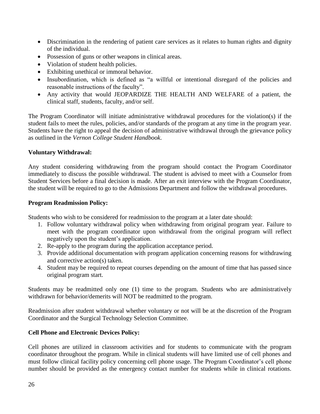- Discrimination in the rendering of patient care services as it relates to human rights and dignity of the individual.
- Possession of guns or other weapons in clinical areas.
- Violation of student health policies.
- Exhibiting unethical or immoral behavior.
- Insubordination, which is defined as "a willful or intentional disregard of the policies and reasonable instructions of the faculty".
- Any activity that would JEOPARDIZE THE HEALTH AND WELFARE of a patient, the clinical staff, students, faculty, and/or self.

The Program Coordinator will initiate administrative withdrawal procedures for the violation(s) if the student fails to meet the rules, policies, and/or standards of the program at any time in the program year. Students have the right to appeal the decision of administrative withdrawal through the grievance policy as outlined in the *Vernon College Student Handbook*.

## **Voluntary Withdrawal:**

Any student considering withdrawing from the program should contact the Program Coordinator immediately to discuss the possible withdrawal. The student is advised to meet with a Counselor from Student Services before a final decision is made. After an exit interview with the Program Coordinator, the student will be required to go to the Admissions Department and follow the withdrawal procedures.

#### **Program Readmission Policy:**

Students who wish to be considered for readmission to the program at a later date should:

- 1. Follow voluntary withdrawal policy when withdrawing from original program year. Failure to meet with the program coordinator upon withdrawal from the original program will reflect negatively upon the student's application.
- 2. Re-apply to the program during the application acceptance period.
- 3. Provide additional documentation with program application concerning reasons for withdrawing and corrective action(s) taken.
- 4. Student may be required to repeat courses depending on the amount of time that has passed since original program start.

Students may be readmitted only one (1) time to the program. Students who are administratively withdrawn for behavior/demerits will NOT be readmitted to the program.

Readmission after student withdrawal whether voluntary or not will be at the discretion of the Program Coordinator and the Surgical Technology Selection Committee.

## **Cell Phone and Electronic Devices Policy:**

Cell phones are utilized in classroom activities and for students to communicate with the program coordinator throughout the program. While in clinical students will have limited use of cell phones and must follow clinical facility policy concerning cell phone usage. The Program Coordinator's cell phone number should be provided as the emergency contact number for students while in clinical rotations.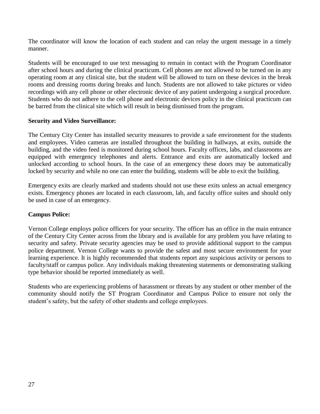The coordinator will know the location of each student and can relay the urgent message in a timely manner.

Students will be encouraged to use text messaging to remain in contact with the Program Coordinator after school hours and during the clinical practicum. Cell phones are not allowed to be turned on in any operating room at any clinical site, but the student will be allowed to turn on these devices in the break rooms and dressing rooms during breaks and lunch. Students are not allowed to take pictures or video recordings with any cell phone or other electronic device of any patient undergoing a surgical procedure. Students who do not adhere to the cell phone and electronic devices policy in the clinical practicum can be barred from the clinical site which will result in being dismissed from the program.

## **Security and Video Surveillance:**

The Century City Center has installed security measures to provide a safe environment for the students and employees. Video cameras are installed throughout the building in hallways, at exits, outside the building, and the video feed is monitored during school hours. Faculty offices, labs, and classrooms are equipped with emergency telephones and alerts. Entrance and exits are automatically locked and unlocked according to school hours. In the case of an emergency these doors may be automatically locked by security and while no one can enter the building, students will be able to exit the building.

Emergency exits are clearly marked and students should not use these exits unless an actual emergency exists. Emergency phones are located in each classroom, lab, and faculty office suites and should only be used in case of an emergency.

#### **Campus Police:**

Vernon College employs police officers for your security. The officer has an office in the main entrance of the Century City Center across from the library and is available for any problem you have relating to security and safety. Private security agencies may be used to provide additional support to the campus police department. Vernon College wants to provide the safest and most secure environment for your learning experience. It is highly recommended that students report any suspicious activity or persons to faculty/staff or campus police. Any individuals making threatening statements or demonstrating stalking type behavior should be reported immediately as well.

Students who are experiencing problems of harassment or threats by any student or other member of the community should notify the ST Program Coordinator and Campus Police to ensure not only the student's safety, but the safety of other students and college employees.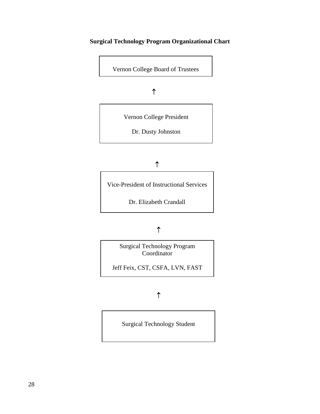# **Surgical Technology Program Organizational Chart**

Vernon College Board of Trustees

**1 1 1 1 1 1 1 1 1** 

Vernon College President

Dr. Dusty Johnston

# 

Vice-President of Instructional Services

Dr. Elizabeth Crandall

# 

 Surgical Technology Program Coordinator

 Jeff Feix, CST, CSFA, LVN, FAST

Surgical Technology Student